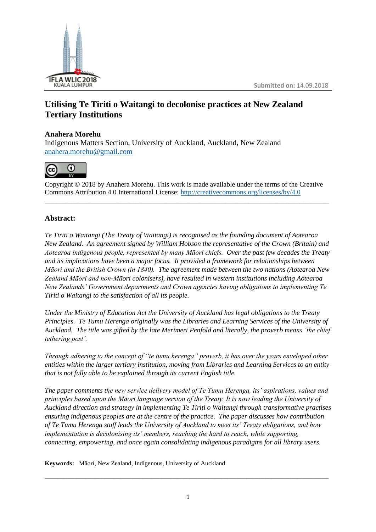

# **Utilising Te Tiriti o Waitangi to decolonise practices at New Zealand Tertiary Institutions**

## **Anahera Morehu**

Indigenous Matters Section, University of Auckland, Auckland, New Zealand [anahera.morehu@gmail.com](mailto:anahera.morehu@gmail.com)



Copyright © 2018 by Anahera Morehu. This work is made available under the terms of the Creative Commons Attribution 4.0 International License: <http://creativecommons.org/licenses/by/4.0>

**\_\_\_\_\_\_\_\_\_\_\_\_\_\_\_\_\_\_\_\_\_\_\_\_\_\_\_\_\_\_\_\_\_\_\_\_\_\_\_\_\_\_\_\_\_\_\_\_\_\_\_\_\_\_\_\_\_\_\_\_\_\_\_\_\_\_\_\_\_\_\_\_\_\_\_**

## **Abstract:**

*Te Tiriti o Waitangi (The Treaty of Waitangi) is recognised as the founding document of Aotearoa New Zealand. An agreement signed by William Hobson the representative of the Crown (Britain) and Aotearoa indigenous people, represented by many Māori chiefs. Over the past few decades the Treaty and its implications have been a major focus. It provided a framework for relationships between Māori and the British Crown (in 1840). The agreement made between the two nations (Aotearoa New Zealand Māori and non-Māori colonisers), have resulted in western institutions including Aotearoa New Zealands' Government departments and Crown agencies having obligations to implementing Te Tiriti o Waitangi to the satisfaction of all its people.*

*Under the Ministry of Education Act the University of Auckland has legal obligations to the Treaty Principles. Te Tumu Herenga originally was the Libraries and Learning Services of the University of Auckland. The title was gifted by the late Merimeri Penfold and literally, the proverb means 'the chief tethering post'.*

*Through adhering to the concept of "te tumu herenga" proverb, it has over the years enveloped other entities within the larger tertiary institution, moving from Libraries and Learning Services to an entity that is not fully able to be explained through its current English title.*

*The paper comments the new service delivery model of Te Tumu Herenga, its' aspirations, values and principles based upon the Māori language version of the Treaty. It is now leading the University of Auckland direction and strategy in implementing Te Tiriti o Waitangi through transformative practises ensuring indigenous peoples are at the centre of the practice. The paper discusses how contribution of Te Tumu Herenga staff leads the University of Auckland to meet its' Treaty obligations, and how implementation is decolonising its' members, reaching the hard to reach, while supporting, connecting, empowering, and once again consolidating indigenous paradigms for all library users.*

**Keywords:** Māori, New Zealand, Indigenous, University of Auckland

\_\_\_\_\_\_\_\_\_\_\_\_\_\_\_\_\_\_\_\_\_\_\_\_\_\_\_\_\_\_\_\_\_\_\_\_\_\_\_\_\_\_\_\_\_\_\_\_\_\_\_\_\_\_\_\_\_\_\_\_\_\_\_\_\_\_\_\_\_\_\_\_\_\_\_\_\_\_\_\_\_\_\_\_\_\_\_\_\_\_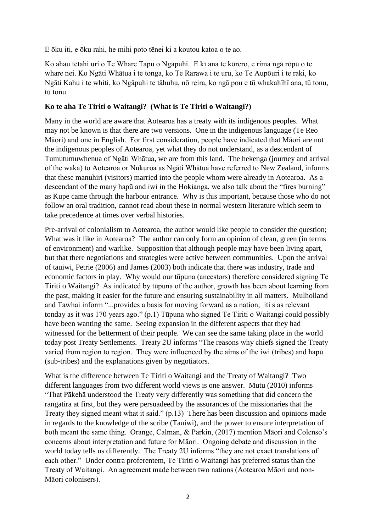E ōku iti, e ōku rahi, he mihi poto tēnei ki a koutou katoa o te ao.

Ko ahau tētahi uri o Te Whare Tapu o Ngāpuhi. E kī ana te kōrero, e rima ngā rōpū o te whare nei. Ko Ngāti Whātua i te tonga, ko Te Rarawa i te uru, ko Te Aupōuri i te raki, ko Ngāti Kahu i te whiti, ko Ngāpuhi te tāhuhu, nō reira, ko ngā pou e tū whakahīhī ana, tū tonu, tū tonu.

#### **Ko te aha Te Tiriti o Waitangi? (What is Te Tiriti o Waitangi?)**

Many in the world are aware that Aotearoa has a treaty with its indigenous peoples. What may not be known is that there are two versions. One in the indigenous language (Te Reo Māori) and one in English. For first consideration, people have indicated that Māori are not the indigenous peoples of Aotearoa, yet what they do not understand, as a descendant of Tumutumuwhenua of Ngāti Whātua, we are from this land. The hekenga (journey and arrival of the waka) to Aotearoa or Nukuroa as Ngāti Whātua have referred to New Zealand, informs that these manuhiri (visitors) married into the people whom were already in Aotearoa. As a descendant of the many hapū and iwi in the Hokianga, we also talk about the "fires burning" as Kupe came through the harbour entrance. Why is this important, because those who do not follow an oral tradition, cannot read about these in normal western literature which seem to take precedence at times over verbal histories.

Pre-arrival of colonialism to Aotearoa, the author would like people to consider the question; What was it like in Aotearoa? The author can only form an opinion of clean, green (in terms of environment) and warlike. Supposition that although people may have been living apart, but that there negotiations and strategies were active between communities. Upon the arrival of tauiwi, Petrie (2006) and James (2003) both indicate that there was industry, trade and economic factors in play. Why would our tūpuna (ancestors) therefore considered signing Te Tiriti o Waitangi? As indicated by tūpuna of the author, growth has been about learning from the past, making it easier for the future and ensuring sustainability in all matters. Mulholland and Tawhai inform "...provides a basis for moving forward as a nation; iti s as relevant tonday as it was 170 years ago." (p.1) Tūpuna who signed Te Tiriti o Waitangi could possibly have been wanting the same. Seeing expansion in the different aspects that they had witnessed for the betterment of their people. We can see the same taking place in the world today post Treaty Settlements. Treaty 2U informs "The reasons why chiefs signed the Treaty varied from region to region. They were influenced by the aims of the iwi (tribes) and hapū (sub-tribes) and the explanations given by negotiators.

What is the difference between Te Tiriti o Waitangi and the Treaty of Waitangi? Two different languages from two different world views is one answer. Mutu (2010) informs "That Pākehā understood the Treaty very differently was something that did concern the rangatira at first, but they were persuadeed by the assurances of the missionaries that the Treaty they signed meant what it said." (p.13) There has been discussion and opinions made in regards to the knowledge of the scribe (Tauiwi), and the power to ensure interpretation of both meant the same thing. Orange, Calman, & Parkin, (2017) mention Māori and Colenso's concerns about interpretation and future for Māori. Ongoing debate and discussion in the world today tells us differently. The Treaty 2U informs "they are not exact translations of each other." Under contra proferentem, Te Tiriti o Waitangi has preferred status than the Treaty of Waitangi. An agreement made between two nations (Aotearoa Māori and non-Māori colonisers).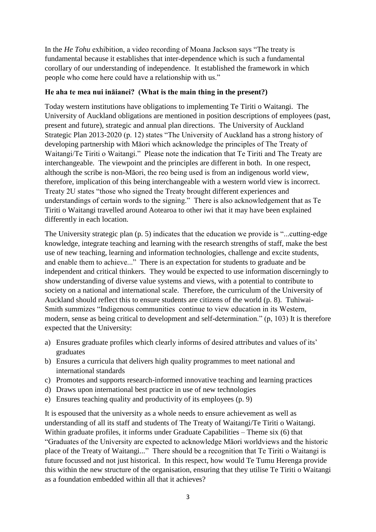In the *He Tohu* exhibition, a video recording of Moana Jackson says "The treaty is fundamental because it establishes that inter-dependence which is such a fundamental corollary of our understanding of independence. It established the framework in which people who come here could have a relationship with us."

### **He aha te mea nui ināianei? (What is the main thing in the present?)**

Today western institutions have obligations to implementing Te Tiriti o Waitangi. The University of Auckland obligations are mentioned in position descriptions of employees (past, present and future), strategic and annual plan directions. The University of Auckland Strategic Plan 2013-2020 (p. 12) states "The University of Auckland has a strong history of developing partnership with Māori which acknowledge the principles of The Treaty of Waitangi/Te Tiriti o Waitangi." Please note the indication that Te Tiriti and The Treaty are interchangeable. The viewpoint and the principles are different in both. In one respect, although the scribe is non-Māori, the reo being used is from an indigenous world view, therefore, implication of this being interchangeable with a western world view is incorrect. Treaty 2U states "those who signed the Treaty brought different experiences and understandings of certain words to the signing." There is also acknowledgement that as Te Tiriti o Waitangi travelled around Aotearoa to other iwi that it may have been explained differently in each location.

The University strategic plan (p. 5) indicates that the education we provide is "...cutting-edge knowledge, integrate teaching and learning with the research strengths of staff, make the best use of new teaching, learning and information technologies, challenge and excite students, and enable them to achieve..." There is an expectation for students to graduate and be independent and critical thinkers. They would be expected to use information discerningly to show understanding of diverse value systems and views, with a potential to contribute to society on a national and international scale. Therefore, the curriculum of the University of Auckland should reflect this to ensure students are citizens of the world (p. 8). Tuhiwai-Smith summizes "Indigenous communities continue to view education in its Western, modern, sense as being critical to development and self-determination." (p, 103) It is therefore expected that the University:

- a) Ensures graduate profiles which clearly informs of desired attributes and values of its' graduates
- b) Ensures a curricula that delivers high quality programmes to meet national and international standards
- c) Promotes and supports research-informed innovative teaching and learning practices
- d) Draws upon international best practice in use of new technologies
- e) Ensures teaching quality and productivity of its employees (p. 9)

It is espoused that the university as a whole needs to ensure achievement as well as understanding of all its staff and students of The Treaty of Waitangi/Te Tiriti o Waitangi. Within graduate profiles, it informs under Graduate Capabilities – Theme six (6) that "Graduates of the University are expected to acknowledge Māori worldviews and the historic place of the Treaty of Waitangi..." There should be a recognition that Te Tiriti o Waitangi is future focussed and not just historical. In this respect, how would Te Tumu Herenga provide this within the new structure of the organisation, ensuring that they utilise Te Tiriti o Waitangi as a foundation embedded within all that it achieves?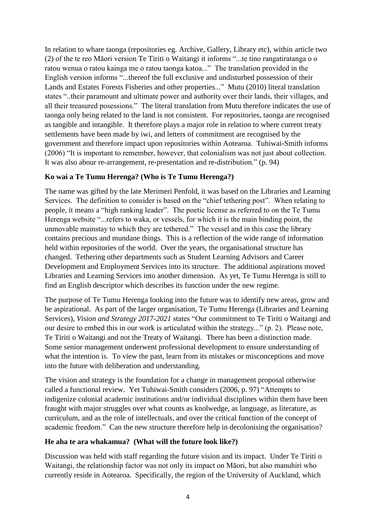In relation to whare taonga (repositories eg. Archive, Gallery, Library etc), within article two (2) of the te reo Māori version Te Tiriti o Waitangi it informs "...te tino rangatiratanga o o ratou wenua o ratou kainga me o ratou taonga katoa..." The translation provided in the English version informs "...thereof the full exclusive and undisturbed possession of their Lands and Estates Forests Fisheries and other properties..." Mutu (2010) literal translation states "..their paramount and ultimate power and authority over their lands, their villages, and all their treasured posessions." The literal translation from Mutu therefore indicates the use of taonga only being related to the land is not consistent. For repositories, taonga are recognised as tangible and intangible. It therefore plays a major role in relation to where current treaty settlements have been made by iwi, and letters of commitment are recognised by the government and therefore impact upon repositories within Aotearoa. Tuhiwai-Smith informs (2006) "It is important to remember, however, that colonialism was not just about collection. It was also abour re-arrangement, re-presentation and re-distribution." (p. 94)

## **Ko wai a Te Tumu Herenga? (Who is Te Tumu Herenga?)**

The name was gifted by the late Merimeri Penfold, it was based on the Libraries and Learning Services. The definition to consider is based on the "chief tethering post". When relating to people, it means a "high ranking leader". The poetic license as referred to on the Te Tumu Herenga website "...refers to waka, or vessels, for which it is the main binding point, the unmovable mainstay to which they are tethered." The vessel and in this case the library contains precious and mundane things. This is a reflection of the wide range of information held within repositories of the world. Over the years, the organisational structure has changed. Tethering other departments such as Student Learning Advisors and Career Development and Employment Services into its structure. The additional aspirations moved Libraries and Learning Services into another dimension. As yet, Te Tumu Herenga is still to find an English descriptor which describes its function under the new regime.

The purpose of Te Tumu Herenga looking into the future was to identify new areas, grow and be aspirational. As part of the larger organisation, Te Tumu Herenga (Libraries and Learning Services), *Vision and Strategy 2017-2021* states "Our commitment to Te Tiriti o Waitangi and our desire to embed this in our work is articulated within the strategy..." (p. 2). Please note, Te Tiriti o Waitangi and not the Treaty of Waitangi. There has been a distinction made. Some senior management underwent professional development to ensure understanding of what the intention is. To view the past, learn from its mistakes or misconceptions and move into the future with deliberation and understanding.

The vision and strategy is the foundation for a change in management proposal otherwise called a functional review. Yet Tuhiwai-Smith considers (2006, p. 97) "Attempts to indigenize colonial academic institutions and/or individual disciplines within them have been fraught with major struggles over what counts as knolwedge, as language, as literature, as curriculum, and as the role of intellectuals, and over the critical function of the concept of academic freedom." Can the new structure therefore help in decolonising the organisation?

#### **He aha te ara whakamua? (What will the future look like?)**

Discussion was held with staff regarding the future vision and its impact. Under Te Tiriti o Waitangi, the relationship factor was not only its impact on Māori, but also manuhiri who currently reside in Aotearoa. Specifically, the region of the University of Auckland, which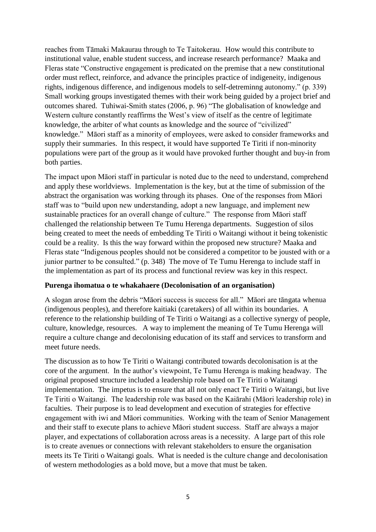reaches from Tāmaki Makaurau through to Te Taitokerau. How would this contribute to institutional value, enable student success, and increase research performance? Maaka and Fleras state "Constructive engagement is predicated on the premise that a new constitutional order must reflect, reinforce, and advance the principles practice of indigeneity, indigenous rights, indigenous difference, and indigenous models to self-detreminng autonomy." (p. 339) Small working groups investigated themes with their work being guided by a project brief and outcomes shared. Tuhiwai-Smith states (2006, p. 96) "The globalisation of knowledge and Western culture constantly reaffirms the West's view of itself as the centre of legitimate knowledge, the arbiter of what counts as knowledge and the source of "civilized" knowledge." Māori staff as a minority of employees, were asked to consider frameworks and supply their summaries. In this respect, it would have supported Te Tiriti if non-minority populations were part of the group as it would have provoked further thought and buy-in from both parties.

The impact upon Māori staff in particular is noted due to the need to understand, comprehend and apply these worldviews. Implementation is the key, but at the time of submission of the abstract the organisation was working through its phases. One of the responses from Māori staff was to "build upon new understanding, adopt a new language, and implement new sustainable practices for an overall change of culture." The response from Māori staff challenged the relationship between Te Tumu Herenga departments. Suggestion of silos being created to meet the needs of embedding Te Tiriti o Waitangi without it being tokenistic could be a reality. Is this the way forward within the proposed new structure? Maaka and Fleras state "Indigenous peoples should not be considered a competitor to be jousted with or a junior partner to be consulted." (p. 348) The move of Te Tumu Herenga to include staff in the implementation as part of its process and functional review was key in this respect.

#### **Purenga ihomatua o te whakahaere (Decolonisation of an organisation)**

A slogan arose from the debris "Māori success is success for all." Māori are tāngata whenua (indigenous peoples), and therefore kaitiaki (caretakers) of all within its boundaries. A reference to the relationship building of Te Tiriti o Waitangi as a collective synergy of people, culture, knowledge, resources. A way to implement the meaning of Te Tumu Herenga will require a culture change and decolonising education of its staff and services to transform and meet future needs.

The discussion as to how Te Tiriti o Waitangi contributed towards decolonisation is at the core of the argument. In the author's viewpoint, Te Tumu Herenga is making headway. The original proposed structure included a leadership role based on Te Tiriti o Waitangi implementation. The impetus is to ensure that all not only enact Te Tiriti o Waitangi, but live Te Tiriti o Waitangi. The leadership role was based on the Kaiārahi (Māori leadership role) in faculties. Their purpose is to lead development and execution of strategies for effective engagement with iwi and Māori communities. Working with the team of Senior Management and their staff to execute plans to achieve Māori student success. Staff are always a major player, and expectations of collaboration across areas is a necessity. A large part of this role is to create avenues or connections with relevant stakeholders to ensure the organisation meets its Te Tiriti o Waitangi goals. What is needed is the culture change and decolonisation of western methodologies as a bold move, but a move that must be taken.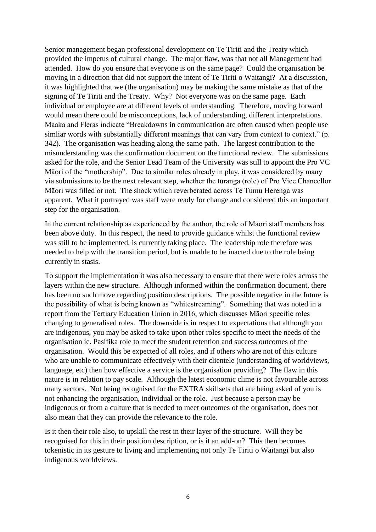Senior management began professional development on Te Tiriti and the Treaty which provided the impetus of cultural change. The major flaw, was that not all Management had attended. How do you ensure that everyone is on the same page? Could the organisation be moving in a direction that did not support the intent of Te Tiriti o Waitangi? At a discussion, it was highlighted that we (the organisation) may be making the same mistake as that of the signing of Te Tiriti and the Treaty. Why? Not everyone was on the same page. Each individual or employee are at different levels of understanding. Therefore, moving forward would mean there could be misconceptions, lack of understanding, different interpretations. Maaka and Fleras indicate "Breakdowns in communication are often caused when people use simliar words with substantially different meanings that can vary from context to context." (p. 342). The organisation was heading along the same path. The largest contribution to the misunderstanding was the confirmation document on the functional review. The submissions asked for the role, and the Senior Lead Team of the University was still to appoint the Pro VC Māori of the "mothership". Due to similar roles already in play, it was considered by many via submissions to be the next relevant step, whether the tūranga (role) of Pro Vice Chancellor Māori was filled or not. The shock which reverberated across Te Tumu Herenga was apparent. What it portrayed was staff were ready for change and considered this an important step for the organisation.

In the current relationship as experienced by the author, the role of Māori staff members has been above duty. In this respect, the need to provide guidance whilst the functional review was still to be implemented, is currently taking place. The leadership role therefore was needed to help with the transition period, but is unable to be inacted due to the role being currently in stasis.

To support the implementation it was also necessary to ensure that there were roles across the layers within the new structure. Although informed within the confirmation document, there has been no such move regarding position descriptions. The possible negative in the future is the possibility of what is being known as "whitestreaming". Something that was noted in a report from the Tertiary Education Union in 2016, which discusses Māori specific roles changing to generalised roles. The downside is in respect to expectations that although you are indigenous, you may be asked to take upon other roles specific to meet the needs of the organisation ie. Pasifika role to meet the student retention and success outcomes of the organisation. Would this be expected of all roles, and if others who are not of this culture who are unable to communicate effectively with their clientele (understanding of worldviews, language, etc) then how effective a service is the organisation providing? The flaw in this nature is in relation to pay scale. Although the latest economic clime is not favourable across many sectors. Not being recognised for the EXTRA skillsets that are being asked of you is not enhancing the organisation, individual or the role. Just because a person may be indigenous or from a culture that is needed to meet outcomes of the organisation, does not also mean that they can provide the relevance to the role.

Is it then their role also, to upskill the rest in their layer of the structure. Will they be recognised for this in their position description, or is it an add-on? This then becomes tokenistic in its gesture to living and implementing not only Te Tiriti o Waitangi but also indigenous worldviews.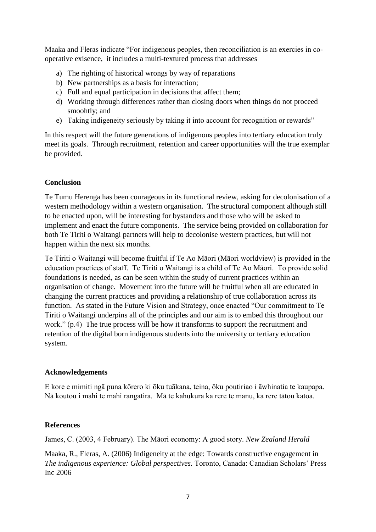Maaka and Fleras indicate "For indigenous peoples, then reconciliation is an exercies in cooperative exisence, it includes a multi-textured process that addresses

- a) The righting of historical wrongs by way of reparations
- b) New partnerships as a basis for interaction;
- c) Full and equal participation in decisions that affect them;
- d) Working through differences rather than closing doors when things do not proceed smoohtly; and
- e) Taking indigeneity seriously by taking it into account for recognition or rewards"

In this respect will the future generations of indigenous peoples into tertiary education truly meet its goals. Through recruitment, retention and career opportunities will the true exemplar be provided.

#### **Conclusion**

Te Tumu Herenga has been courageous in its functional review, asking for decolonisation of a western methodology within a western organisation. The structural component although still to be enacted upon, will be interesting for bystanders and those who will be asked to implement and enact the future components. The service being provided on collaboration for both Te Tiriti o Waitangi partners will help to decolonise western practices, but will not happen within the next six months.

Te Tiriti o Waitangi will become fruitful if Te Ao Māori (Māori worldview) is provided in the education practices of staff. Te Tiriti o Waitangi is a child of Te Ao Māori. To provide solid foundations is needed, as can be seen within the study of current practices within an organisation of change. Movement into the future will be fruitful when all are educated in changing the current practices and providing a relationship of true collaboration across its function. As stated in the Future Vision and Strategy, once enacted "Our commitment to Te Tiriti o Waitangi underpins all of the principles and our aim is to embed this throughout our work." (p.4) The true process will be how it transforms to support the recruitment and retention of the digital born indigenous students into the university or tertiary education system.

#### **Acknowledgements**

E kore e mimiti ngā puna kōrero ki ōku tuākana, teina, ōku poutiriao i āwhinatia te kaupapa. Nā koutou i mahi te mahi rangatira. Mā te kahukura ka rere te manu, ka rere tātou katoa.

#### **References**

James, C. (2003, 4 February). The Māori economy: A good story. *New Zealand Herald*

Maaka, R., Fleras, A. (2006) Indigeneity at the edge: Towards constructive engagement in *The indigenous experience: Global perspectives.* Toronto, Canada: Canadian Scholars' Press Inc 2006